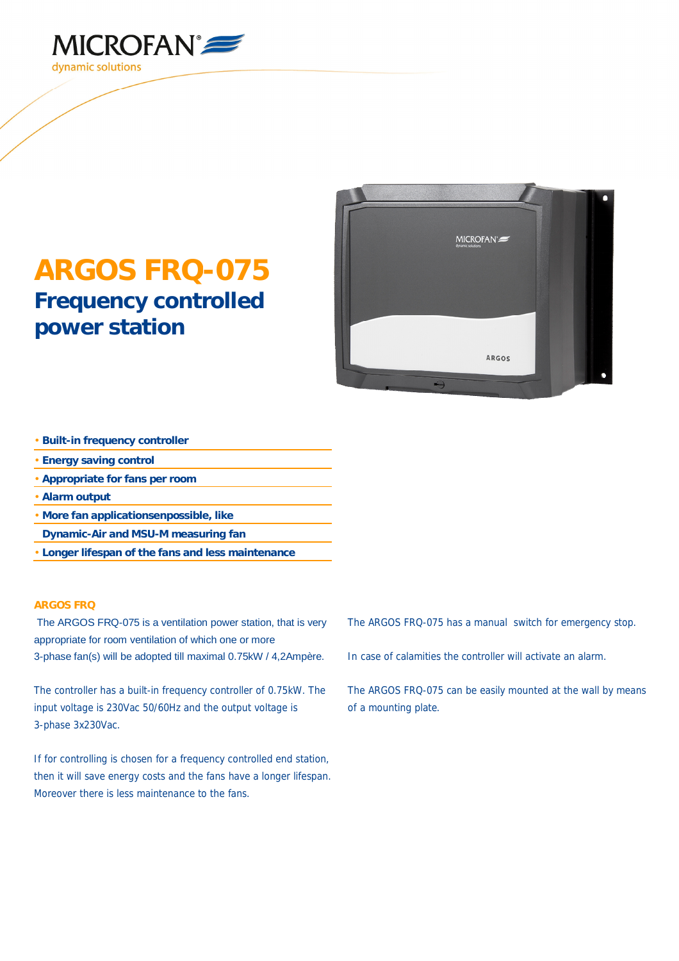

## **ARGOS FRQ-075 Frequency controlled power station**



- **Built-in frequency controller**
- **Energy saving control**
- **Appropriate for fans per room**
- **Alarm output**
- **More fan applicationsenpossible, like**
- **Dynamic-Air and MSU-M measuring fan**
- **Longer lifespan of the fans and less maintenance**

## **ARGOS FRQ**

The ARGOS FRQ-075 is a ventilation power station, that is very appropriate for room ventilation of which one or more 3-phase fan(s) will be adopted till maximal 0.75kW / 4,2Ampère.

The controller has a built-in frequency controller of 0.75kW. The input voltage is 230Vac 50/60Hz and the output voltage is 3-phase 3x230Vac.

If for controlling is chosen for a frequency controlled end station, then it will save energy costs and the fans have a longer lifespan. Moreover there is less maintenance to the fans.

The ARGOS FRQ-075 has a manual switch for emergency stop.

In case of calamities the controller will activate an alarm.

The ARGOS FRQ-075 can be easily mounted at the wall by means of a mounting plate.